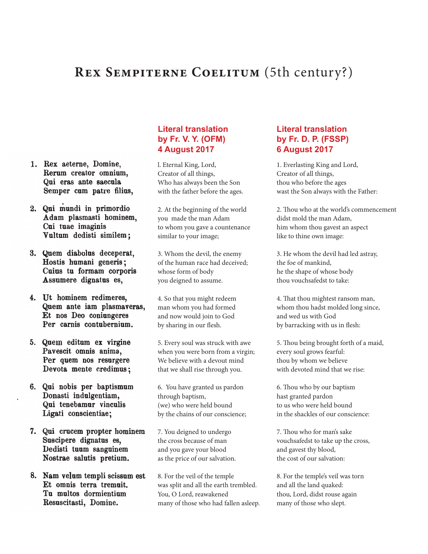# REX SEMPITERNE COELITUM (5th century?)

- 1. Rex aeterne, Domine, Rerum creator omnium, Qui eras ante saecula Semper cum patre filius,
- 2. Qui mundi in primordio Adam plasmasti hominem, Cui tuae imaginis Vultum dedisti similem;
- 3. Quem diabolus deceperat, Hostis humani generis; Cuius tu formam corporis Assumere dignatus es,
- 4. Ut hominem redimeres, Quem ante iam plasmaveras, Et nos Deo coniungeres Per carnis contubernium.
- 5. Quem editum ex virgine Pavescit omnis anima, Per quem nos resurgere Devota mente credimus;
- 6. Qui nobis per baptismum Donasti indulgentiam, Qui tenebamur vinculis Ligati conscientiae;
- 7. Qui crucem propter hominem Suscipere dignatus es, Dedisti tuum sanguinem Nostrae salutis pretium.
- 8. Nam velum templi scissum est Et omnis terra tremuit. Tu multos dormientium Resuscitasti, Domine.

#### **Literal translation by Fr. V. Y. (OFM) 4 August 2017**

l. Eternal King, Lord, Creator of all things, Who has always been the Son with the father before the ages.

2. At the beginning of the world you made the man Adam to whom you gave a countenance similar to your image;

3. Whom the devil, the enemy of the human race had deceived; whose form of body you deigned to assume.

4. So that you might redeem man whom you had formed and now would join to God by sharing in our flesh.

5. Every soul was struck with awe when you were born from a virgin; We believe with a devout mind that we shall rise through you.

6. You have granted us pardon through baptism, (we) who were held bound by the chains of our conscience;

7. You deigned to undergo the cross because of man and you gave your blood as the price of our salvation.

8. For the veil of the temple was split and all the earth trembled. You, O Lord, reawakened many of those who had fallen asleep.

#### **Literal translation by Fr. D. P. (FSSP) 6 August 2017**

1. Everlasting King and Lord, Creator of all things, thou who before the ages wast the Son always with the Father:

2. Thou who at the world's commencement didst mold the man Adam, him whom thou gavest an aspect like to thine own image:

3. He whom the devil had led astray, the foe of mankind, he the shape of whose body thou vouchsafedst to take:

4. That thou mightest ransom man, whom thou hadst molded long since, and wed us with God by barracking with us in flesh:

5. Thou being brought forth of a maid, every soul grows fearful: thou by whom we believe with devoted mind that we rise:

6. Thou who by our baptism hast granted pardon to us who were held bound in the shackles of our conscience:

7. Thou who for man's sake vouchsafedst to take up the cross, and gavest thy blood, the cost of our salvation:

8. For the temple's veil was torn and all the land quaked: thou, Lord, didst rouse again many of those who slept.